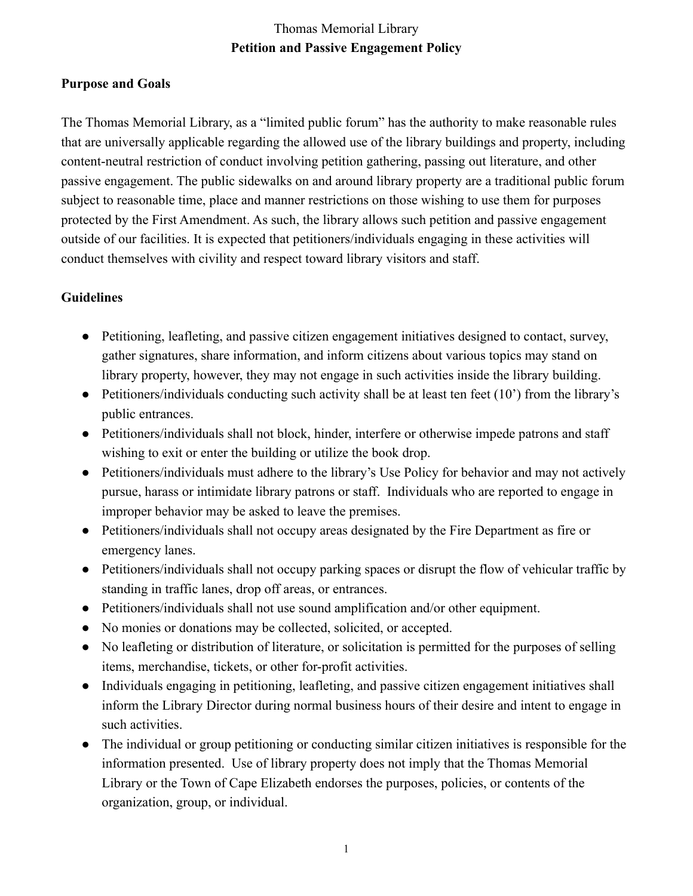## Thomas Memorial Library **Petition and Passive Engagement Policy**

## **Purpose and Goals**

The Thomas Memorial Library, as a "limited public forum" has the authority to make reasonable rules that are universally applicable regarding the allowed use of the library buildings and property, including content-neutral restriction of conduct involving petition gathering, passing out literature, and other passive engagement. The public sidewalks on and around library property are a traditional public forum subject to reasonable time, place and manner restrictions on those wishing to use them for purposes protected by the First Amendment. As such, the library allows such petition and passive engagement outside of our facilities. It is expected that petitioners/individuals engaging in these activities will conduct themselves with civility and respect toward library visitors and staff.

## **Guidelines**

- Petitioning, leafleting, and passive citizen engagement initiatives designed to contact, survey, gather signatures, share information, and inform citizens about various topics may stand on library property, however, they may not engage in such activities inside the library building.
- Petitioners/individuals conducting such activity shall be at least ten feet (10') from the library's public entrances.
- Petitioners/individuals shall not block, hinder, interfere or otherwise impede patrons and staff wishing to exit or enter the building or utilize the book drop.
- Petitioners/individuals must adhere to the library's Use Policy for behavior and may not actively pursue, harass or intimidate library patrons or staff. Individuals who are reported to engage in improper behavior may be asked to leave the premises.
- Petitioners/individuals shall not occupy areas designated by the Fire Department as fire or emergency lanes.
- Petitioners/individuals shall not occupy parking spaces or disrupt the flow of vehicular traffic by standing in traffic lanes, drop off areas, or entrances.
- Petitioners/individuals shall not use sound amplification and/or other equipment.
- No monies or donations may be collected, solicited, or accepted.
- No leafleting or distribution of literature, or solicitation is permitted for the purposes of selling items, merchandise, tickets, or other for-profit activities.
- Individuals engaging in petitioning, leafleting, and passive citizen engagement initiatives shall inform the Library Director during normal business hours of their desire and intent to engage in such activities.
- The individual or group petitioning or conducting similar citizen initiatives is responsible for the information presented. Use of library property does not imply that the Thomas Memorial Library or the Town of Cape Elizabeth endorses the purposes, policies, or contents of the organization, group, or individual.